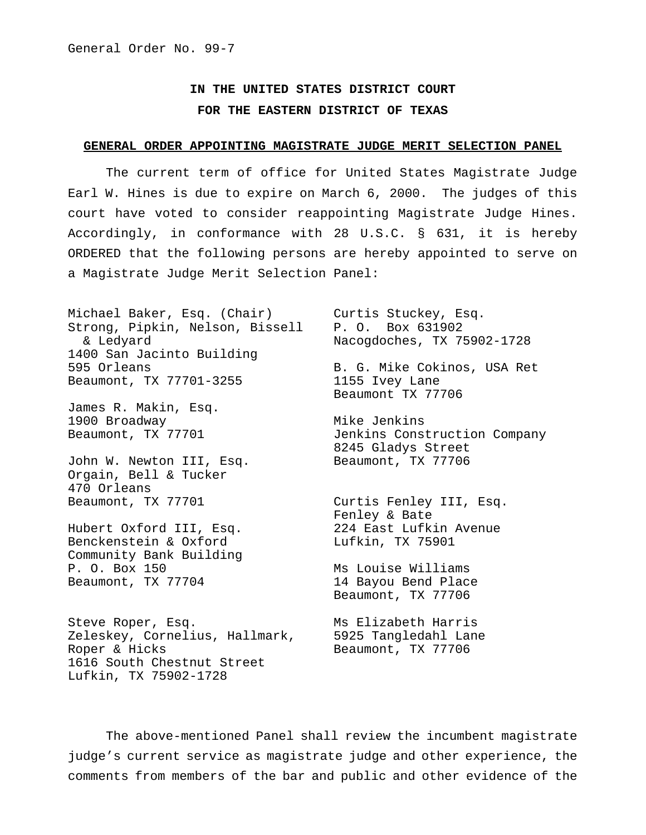## **IN THE UNITED STATES DISTRICT COURT FOR THE EASTERN DISTRICT OF TEXAS**

## **GENERAL ORDER APPOINTING MAGISTRATE JUDGE MERIT SELECTION PANEL**

The current term of office for United States Magistrate Judge Earl W. Hines is due to expire on March 6, 2000. The judges of this court have voted to consider reappointing Magistrate Judge Hines. Accordingly, in conformance with 28 U.S.C. § 631, it is hereby ORDERED that the following persons are hereby appointed to serve on a Magistrate Judge Merit Selection Panel:

Michael Baker, Esq. (Chair) Curtis Stuckey, Esq. Strong, Pipkin, Nelson, Bissell P. O. Box 631902 & Ledyard Nacogdoches, TX 75902-1728 1400 San Jacinto Building 595 Orleans B. G. Mike Cokinos, USA Ret Beaumont, TX 77701-3255 1155 Ivey Lane

James R. Makin, Esq. 1900 Broadway **Mike Jenkins** 

John W. Newton III, Esq. Beaumont, TX 77706 Orgain, Bell & Tucker 470 Orleans Beaumont, TX 77701 Curtis Fenley III, Esq.

Benckenstein & Oxford Container Lufkin, TX 75901 Community Bank Building P. O. Box 150 Ms Louise Williams Beaumont, TX 77704 14 Bayou Bend Place

Steve Roper, Esq. Ms Elizabeth Harris Zeleskey, Cornelius, Hallmark, 5925 Tangledahl Lane Roper & Hicks Beaumont, TX 77706 1616 South Chestnut Street Lufkin, TX 75902-1728

Beaumont TX 77706

Beaumont, TX 77701 Jenkins Construction Company 8245 Gladys Street

Fenley & Bate Hubert Oxford III, Esq. 224 East Lufkin Avenue

Beaumont, TX 77706

The above-mentioned Panel shall review the incumbent magistrate judge's current service as magistrate judge and other experience, the comments from members of the bar and public and other evidence of the